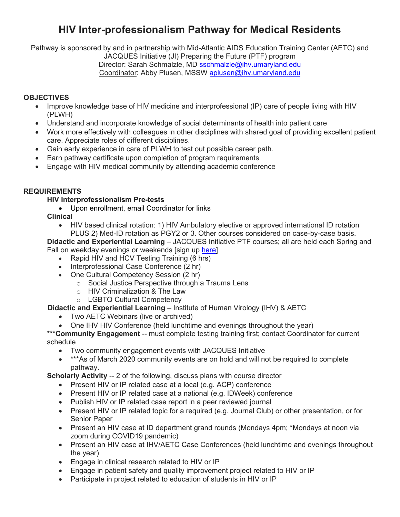# **HIV Inter-professionalism Pathway for Medical Residents**

Pathway is sponsored by and in partnership with Mid-Atlantic AIDS Education Training Center (AETC) and

JACQUES Initiative (JI) Preparing the Future (PTF) program

Director: Sarah Schmalzle, MD [sschmalzle@ihv.umaryland.edu](mailto:sschmalzle@ihv.umaryland.edu)

# Coordinator: Abby Plusen, MSSW [aplusen@ihv.umaryland.edu](mailto:aplusen@ihv.umaryland.edu)

# **OBJECTIVES**

- Improve knowledge base of HIV medicine and interprofessional (IP) care of people living with HIV (PLWH)
- Understand and incorporate knowledge of social determinants of health into patient care
- Work more effectively with colleagues in other disciplines with shared goal of providing excellent patient care. Appreciate roles of different disciplines.
- Gain early experience in care of PLWH to test out possible career path.
- Earn pathway certificate upon completion of program requirements
- Engage with HIV medical community by attending academic conference

## **REQUIREMENTS**

#### **HIV Interprofessionalism Pre-tests**

• Upon enrollment, email Coordinator for links

**Clinical** 

• HIV based clinical rotation: 1) HIV Ambulatory elective or approved international ID rotation PLUS 2) Med-ID rotation as PGY2 or 3. Other courses considered on case-by-case basis.

**Didactic and Experiential Learning** – JACQUES Initiative PTF courses; all are held each Spring and Fall on weekday evenings or weekends [sign up [here\]](https://www.maaetc.org/)

- Rapid HIV and HCV Testing Training (6 hrs)
- Interprofessional Case Conference (2 hr)
- One Cultural Competency Session (2 hr)
	- o Social Justice Perspective through a Trauma Lens
	- o HIV Criminalization & The Law
	- o LGBTQ Cultural Competency

#### **Didactic and Experiential Learning** – Institute of Human Virology **(**IHV) & AETC

- Two AETC Webinars (live or archived)
- One IHV HIV Conference (held lunchtime and evenings throughout the year)

\*\*\* **Community Engagement** -- must complete testing training first; contact Coordinator for current schedule

- Two community engagement events with JACQUES Initiative
- \*\*\*As of March 2020 community events are on hold and will not be required to complete pathway.

**Scholarly Activity -- 2 of the following, discuss plans with course director** 

- Present HIV or IP related case at a local (e.g. ACP) conference
- Present HIV or IP related case at a national (e.g. IDWeek) conference
- Publish HIV or IP related case report in a peer reviewed journal
- Present HIV or IP related topic for a required (e.g. Journal Club) or other presentation, or for Senior Paper
- Present an HIV case at ID department grand rounds (Mondays 4pm; \*Mondays at noon via zoom during COVID19 pandemic)
- Present an HIV case at IHV/AETC Case Conferences (held lunchtime and evenings throughout the year)
- Engage in clinical research related to HIV or IP
- Engage in patient safety and quality improvement project related to HIV or IP
- Participate in project related to education of students in HIV or IP